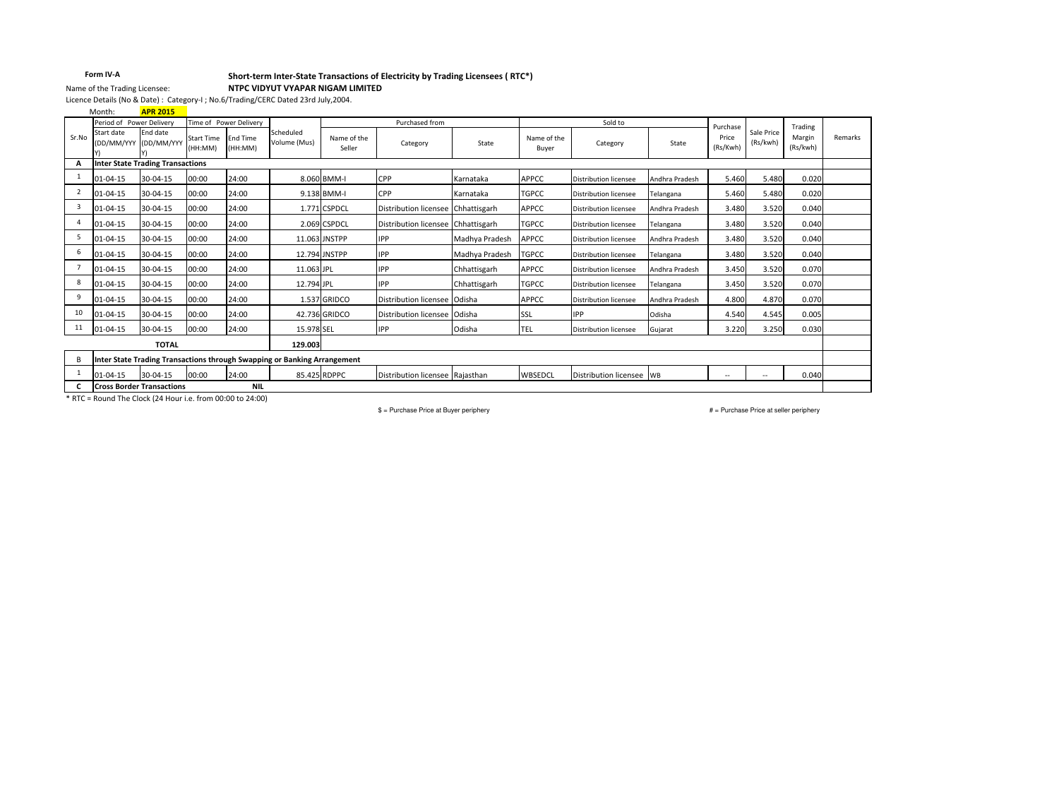### Form IV-A

## Short-term Inter-State Transactions of Electricity by Trading Licensees ( RTC\*)

NTPC VIDYUT VYAPAR NIGAM LIMITED

Licence Details (No & Date) : Category-I ; No.6/Trading/CERC Dated 23rd July,2004.

**APR 2015** Month:

Name of the Trading Licensee:

|                         | Period of Power Delivery<br>Time of Power Delivery                       |                                         |                              |                            |                           | Purchased from        |                                    |                | Sold to              |                              | Purchase       |                   | Trading                |                    |         |
|-------------------------|--------------------------------------------------------------------------|-----------------------------------------|------------------------------|----------------------------|---------------------------|-----------------------|------------------------------------|----------------|----------------------|------------------------------|----------------|-------------------|------------------------|--------------------|---------|
| Sr.No                   | Start date<br>(DD/MM/YYY                                                 | Fnd date<br>(DD/MM/YYY                  | <b>Start Time</b><br>(HH:MM) | <b>End Time</b><br>(HH:MM) | Scheduled<br>Volume (Mus) | Name of the<br>Seller | Category                           | State          | Name of the<br>Buyer | Category                     | State          | Price<br>(Rs/Kwh) | Sale Price<br>(Rs/kwh) | Margin<br>(Rs/kwh) | Remarks |
| A                       |                                                                          | <b>Inter State Trading Transactions</b> |                              |                            |                           |                       |                                    |                |                      |                              |                |                   |                        |                    |         |
|                         | 01-04-15                                                                 | 30-04-15                                | 00:00                        | 24:00                      |                           | 8.060 BMM-I           | CPP                                | Karnataka      | <b>APPCC</b>         | <b>Distribution licensee</b> | Andhra Pradesh | 5.460             | 5.480                  | 0.020              |         |
| $\overline{2}$          | 01-04-15                                                                 | 30-04-15                                | 00:00                        | 24:00                      |                           | 9.138 BMM-I           | CPP                                | Karnataka      | <b>TGPCC</b>         | <b>Distribution licensee</b> | Telangana      | 5.460             | 5.480                  | 0.020              |         |
| $\overline{\mathbf{3}}$ | $01 - 04 - 15$                                                           | 30-04-15                                | 00:00                        | 24:00                      |                           | 1.771 CSPDCL          | Distribution licensee Chhattisgarh |                | <b>APPCC</b>         | Distribution licensee        | Andhra Pradesh | 3.480             | 3.520                  | 0.040              |         |
| $\Delta$                | 01-04-15                                                                 | 30-04-15                                | 00:00                        | 24:00                      |                           | 2.069 CSPDCL          | Distribution licensee Chhattisgarh |                | <b>TGPCC</b>         | <b>Distribution licensee</b> | Telangana      | 3.480             | 3.520                  | 0.040              |         |
| 5                       | 01-04-15                                                                 | 30-04-15                                | 00:00                        | 24:00                      |                           | 11.063 JNSTPP         | <b>IPP</b>                         | Madhya Pradesh | APPCC                | <b>Distribution licensee</b> | Andhra Pradesh | 3.480             | 3.520                  | 0.040              |         |
| 6                       | 01-04-15                                                                 | 30-04-15                                | 00:00                        | 24:00                      |                           | 12.794 JNSTPP         | <b>IPP</b>                         | Madhya Pradesh | <b>TGPCC</b>         | <b>Distribution licensee</b> | Telangana      | 3.480             | 3.520                  | 0.040              |         |
|                         | 01-04-15                                                                 | 30-04-15                                | 00:00                        | 24:00                      | 11.063 JPL                |                       | <b>IPP</b>                         | Chhattisgarh   | APPCC                | <b>Distribution licensee</b> | Andhra Pradesh | 3.450             | 3.520                  | 0.070              |         |
| 8                       | $01 - 04 - 15$                                                           | 30-04-15                                | 00:00                        | 24:00                      | 12.794 JPL                |                       | <b>IPP</b>                         | Chhattisgarh   | <b>TGPCC</b>         | <b>Distribution licensee</b> | Telangana      | 3.450             | 3.520                  | 0.070              |         |
| 9                       | 01-04-15                                                                 | 30-04-15                                | 00:00                        | 24:00                      |                           | 1.537 GRIDCO          | Distribution licensee Odisha       |                | <b>APPCC</b>         | <b>Distribution licensee</b> | Andhra Pradesh | 4.800             | 4.870                  | 0.070              |         |
| 10                      | 01-04-15                                                                 | 30-04-15                                | 00:00                        | 24:00                      |                           | 42.736 GRIDCO         | Distribution licensee Odisha       |                | SSL                  | <b>IPP</b>                   | Odisha         | 4.540             | 4.545                  | 0.005              |         |
| 11                      | $01 - 04 - 15$                                                           | 30-04-15                                | 00:00                        | 24:00                      | 15.978 SEL                |                       | <b>IPP</b>                         | Odisha         | TEL                  | <b>Distribution licensee</b> | Gujarat        | 3.220             | 3.250                  | 0.030              |         |
|                         |                                                                          | <b>TOTAL</b>                            |                              |                            | 129.003                   |                       |                                    |                |                      |                              |                |                   |                        |                    |         |
| B                       | Inter State Trading Transactions through Swapping or Banking Arrangement |                                         |                              |                            |                           |                       |                                    |                |                      |                              |                |                   |                        |                    |         |
|                         | 01-04-15                                                                 | 30-04-15                                | 00:00                        | 24:00                      |                           | 85.425 RDPPC          | Distribution licensee Raiasthan    |                | WBSEDCL              | Distribution licensee WB     |                | --                | $\overline{a}$         | 0.040              |         |
|                         |                                                                          | <b>Cross Border Transactions</b>        |                              | <b>NIL</b>                 |                           |                       |                                    |                |                      |                              |                |                   |                        |                    |         |

\* RTC = Round The Clock (24 Hour i.e. from 00:00 to 24:00)

\$ = Purchase Price at Buyer periphery

# = Purchase Price at seller periphery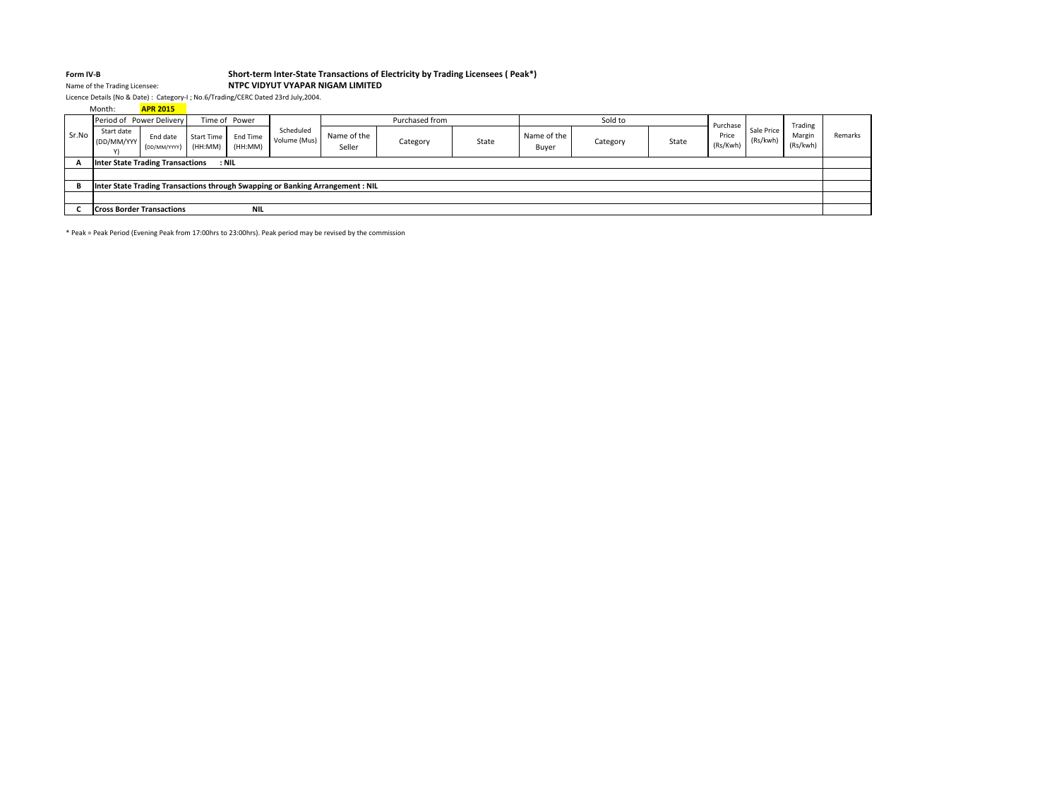#### Form IV-B

## Form IV-B<br>Name of the Trading Licensee: Short-term Inter-State Transactions of Electricity by Trading Licensees (Peak\*)

## NTPC VIDYUT VYAPAR NIGAM LIMITED

Licence Details (No & Date) : Category-I ; No.6/Trading/CERC Dated 23rd July,2004.

|       | Month:                           | <b>APR 2015</b>          |                              |                     |                           |                                                                               |          |       |                      |          |       |                   |                        |                    |         |
|-------|----------------------------------|--------------------------|------------------------------|---------------------|---------------------------|-------------------------------------------------------------------------------|----------|-------|----------------------|----------|-------|-------------------|------------------------|--------------------|---------|
|       | Period of Power Delivery         |                          |                              | Time of Power       |                           | Purchased from                                                                |          |       | Sold to              |          |       | Purchase          |                        | Trading            |         |
| Sr.No | Start date<br>(DD/MM/YYY         | End date<br>(DD/MM/YYYY) | <b>Start Time</b><br>(HH:MM) | End Time<br>(HH:MM) | Scheduled<br>Volume (Mus) | Name of the<br>Seller                                                         | Category | State | Name of the<br>Buyer | Category | State | Price<br>(Rs/Kwh) | Sale Price<br>(Rs/kwh) | Margin<br>(Rs/kwh) | Remarks |
|       | Inter State Trading Transactions |                          | : NIL                        |                     |                           |                                                                               |          |       |                      |          |       |                   |                        |                    |         |
|       |                                  |                          |                              |                     |                           |                                                                               |          |       |                      |          |       |                   |                        |                    |         |
| B     |                                  |                          |                              |                     |                           | Inter State Trading Transactions through Swapping or Banking Arrangement: NIL |          |       |                      |          |       |                   |                        |                    |         |
|       |                                  |                          |                              |                     |                           |                                                                               |          |       |                      |          |       |                   |                        |                    |         |
|       | <b>Cross Border Transactions</b> |                          |                              | <b>NIL</b>          |                           |                                                                               |          |       |                      |          |       |                   |                        |                    |         |

\* Peak = Peak Period (Evening Peak from 17:00hrs to 23:00hrs). Peak period may be revised by the commission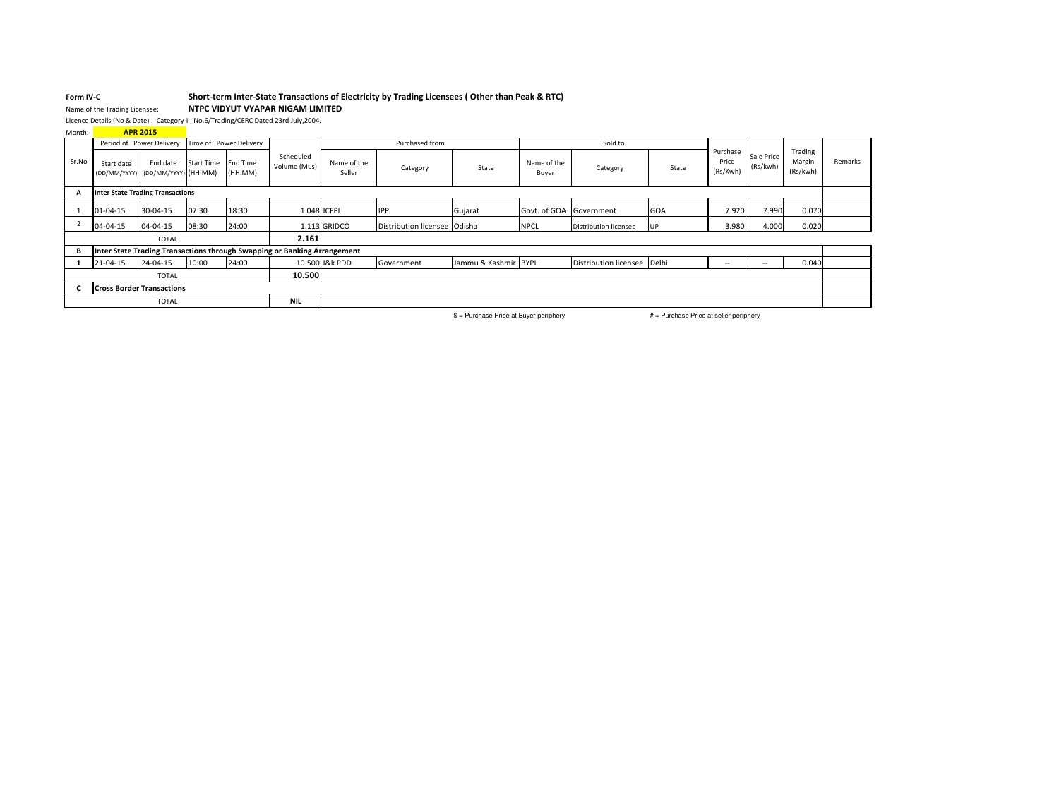## Form IV-CForm IV-C<br>Name of the Trading Licensee: **Short-term Inter-State Transactions of Electricity by Trading Licensees (Other than Peak & RTC)**

NTPC VIDYUT VYAPAR NIGAM LIMITED

Licence Details (No & Date) : Category-I ; No.6/Trading/CERC Dated 23rd July,2004. APR 2015

| Month: |  |
|--------|--|
|        |  |

|       | <u>.</u>                                        | Period of Power Delivery |                   | Time of Power Delivery     |                                                                          |                       | Purchased from                 |                      | Sold to                 |                              |            |                               |                          |                               |         |
|-------|-------------------------------------------------|--------------------------|-------------------|----------------------------|--------------------------------------------------------------------------|-----------------------|--------------------------------|----------------------|-------------------------|------------------------------|------------|-------------------------------|--------------------------|-------------------------------|---------|
| Sr.No | Start date<br>(DD/MM/YYYY) (DD/MM/YYYY) (HH:MM) | End date                 | <b>Start Time</b> | <b>End Time</b><br>(HH:MM) | Scheduled<br>Volume (Mus)                                                | Name of the<br>Seller | Category                       | State                | Name of the<br>Buyer    | Category                     | State      | Purchase<br>Price<br>(Rs/Kwh) | Sale Price<br>(Rs/kwh)   | Trading<br>Margin<br>(Rs/kwh) | Remarks |
|       | <b>Inter State Trading Transactions</b>         |                          |                   |                            |                                                                          |                       |                                |                      |                         |                              |            |                               |                          |                               |         |
|       | 01-04-15                                        | 30-04-15                 | 07:30             | 18:30                      |                                                                          | 1.048 JCFPL           | <b>IPP</b>                     | Gujarat              | Govt. of GOA Government |                              | <b>GOA</b> | 7.920                         | 7.990                    | 0.070                         |         |
|       | 04-04-15                                        | 04-04-15                 | 08:30             | 24:00                      |                                                                          | 1.113 GRIDCO          | Distribution licensee   Odisha |                      | <b>NPCL</b>             | <b>Distribution licensee</b> | <b>UP</b>  | 3.980                         | 4.000                    | 0.020                         |         |
|       |                                                 | <b>TOTAL</b>             |                   |                            | 2.161                                                                    |                       |                                |                      |                         |                              |            |                               |                          |                               |         |
| в     |                                                 |                          |                   |                            | Inter State Trading Transactions through Swapping or Banking Arrangement |                       |                                |                      |                         |                              |            |                               |                          |                               |         |
|       | 21-04-15                                        | 24-04-15                 | 10:00             | 24:00                      |                                                                          | 10.500 J&k PDD        | Government                     | Jammu & Kashmir BYPL |                         | Distribution licensee Delhi  |            | $\overline{\phantom{a}}$      | $\overline{\phantom{a}}$ | 0.040                         |         |
|       |                                                 | <b>TOTAL</b>             |                   |                            | 10.500                                                                   |                       |                                |                      |                         |                              |            |                               |                          |                               |         |
|       | <b>Cross Border Transactions</b>                |                          |                   |                            |                                                                          |                       |                                |                      |                         |                              |            |                               |                          |                               |         |
|       |                                                 | <b>TOTAL</b>             |                   |                            | <b>NIL</b>                                                               |                       |                                |                      |                         |                              |            |                               |                          |                               |         |

\$ = Purchase Price at Buyer periphery  $#$  = Purchase Price at seller periphery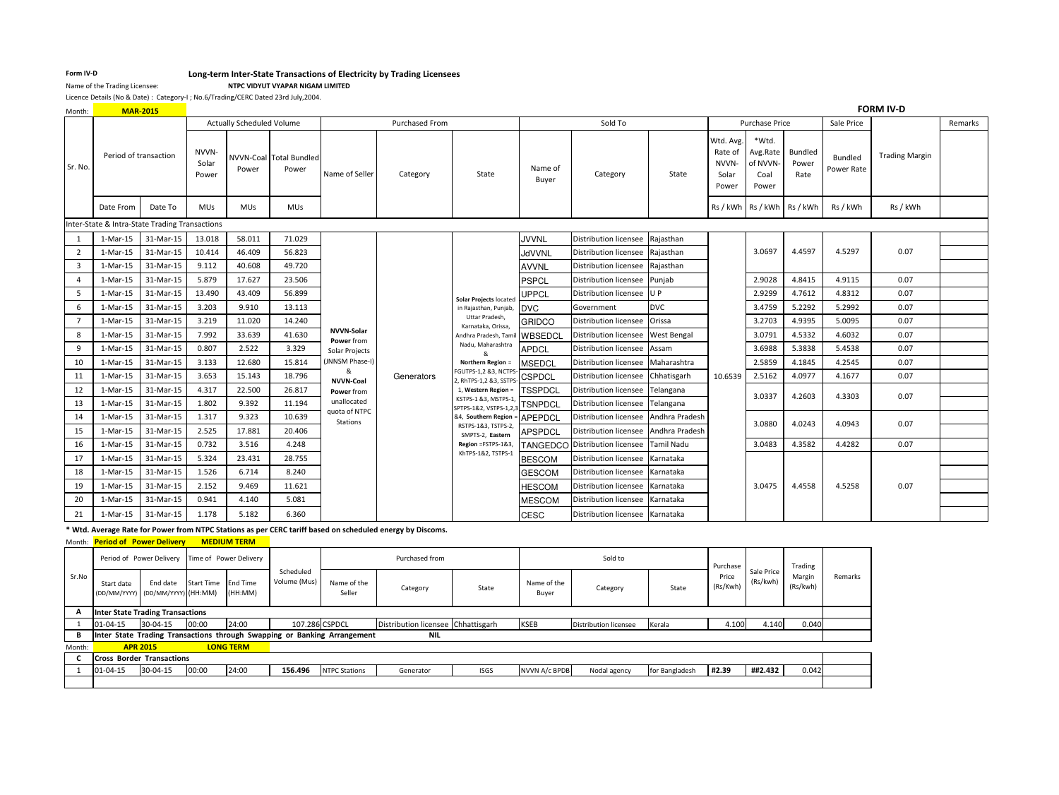## Form IV-D<br>Name of the Trading Licensees<br>Name of the Trading Licensee:<br>Name of the Trading Licensee:<br>Name of the Trading Licensee:

NTPC VIDYUT VYAPAR NIGAM LIMITED

Licence Details (No & Date) : Category-I ; No.6/Trading/CERC Dated 23rd July,2004.

| Month:         |                       | <b>MAR-2015</b>                                |                         |                                  |                                  |                              |                       |                                                |                  |                                 |                    |                                                 |                                               |                          |                       | <b>FORM IV-D</b>      |         |
|----------------|-----------------------|------------------------------------------------|-------------------------|----------------------------------|----------------------------------|------------------------------|-----------------------|------------------------------------------------|------------------|---------------------------------|--------------------|-------------------------------------------------|-----------------------------------------------|--------------------------|-----------------------|-----------------------|---------|
|                |                       |                                                |                         | <b>Actually Scheduled Volume</b> |                                  |                              | <b>Purchased From</b> |                                                |                  | Sold To                         |                    |                                                 | Purchase Price                                |                          | Sale Price            |                       | Remarks |
| Sr. No.        | Period of transaction |                                                | NVVN-<br>Solar<br>Power | Power                            | NVVN-Coal Total Bundled<br>Power | Name of Seller               | Category              | State                                          | Name of<br>Buyer | Category                        | State              | Wtd. Avg.<br>Rate of<br>NVVN-<br>Solar<br>Power | *Wtd.<br>Avg.Rate<br>of NVVN<br>Coal<br>Power | Bundled<br>Power<br>Rate | Bundled<br>Power Rate | <b>Trading Margin</b> |         |
|                | Date From             | Date To                                        | <b>MUs</b>              | <b>MUs</b>                       | <b>MUs</b>                       |                              |                       |                                                |                  |                                 |                    |                                                 | Rs/kWh Rs/kWh Rs/kWh                          |                          | Rs / kWh              | Rs / kWh              |         |
|                |                       | Inter-State & Intra-State Trading Transactions |                         |                                  |                                  |                              |                       |                                                |                  |                                 |                    |                                                 |                                               |                          |                       |                       |         |
|                | 1-Mar-15              | 31-Mar-15                                      | 13.018                  | 58.011                           | 71.029                           |                              |                       |                                                | <b>JVVNL</b>     | Distribution licensee           | Rajasthan          |                                                 |                                               |                          |                       |                       |         |
| $\overline{2}$ | 1-Mar-15              | 31-Mar-15                                      | 10.414                  | 46.409                           | 56.823                           |                              |                       |                                                | <b>JdVVNL</b>    | Distribution licensee           | Rajasthan          |                                                 | 3.0697                                        | 4.4597                   | 4.5297                | 0.07                  |         |
| 3              | 1-Mar-15              | 31-Mar-15                                      | 9.112                   | 40.608                           | 49.720                           |                              |                       |                                                | <b>AVVNL</b>     | <b>Distribution licensee</b>    | Rajasthan          |                                                 |                                               |                          |                       |                       |         |
| $\overline{a}$ | $1-Mar-15$            | 31-Mar-15                                      | 5.879                   | 17.627                           | 23.506                           |                              |                       |                                                | <b>PSPCL</b>     | Distribution licensee           | Punjab             |                                                 | 2.9028                                        | 4.8415                   | 4.9115                | 0.07                  |         |
| 5              | 1-Mar-15              | 31-Mar-15                                      | 13.490                  | 43.409                           | 56.899                           |                              |                       | Solar Projects located                         | UPPCL            | Distribution licensee U P       |                    |                                                 | 2.9299                                        | 4.7612                   | 4.8312                | 0.07                  |         |
| 6              | 1-Mar-15              | 31-Mar-15                                      | 3.203                   | 9.910                            | 13.113                           |                              |                       | in Rajasthan, Punjab,                          | <b>DVC</b>       | Government                      | <b>DVC</b>         |                                                 | 3.4759                                        | 5.2292                   | 5.2992                | 0.07                  |         |
|                | 1-Mar-15              | 31-Mar-15                                      | 3.219                   | 11.020                           | 14.240                           |                              |                       | Uttar Pradesh,<br>Karnataka, Orissa            | <b>GRIDCO</b>    | Distribution licensee           | Orissa             |                                                 | 3.2703                                        | 4.9395                   | 5.0095                | 0.07                  |         |
| 8              | 1-Mar-15              | 31-Mar-15                                      | 7.992                   | 33.639                           | 41.630                           | NVVN-Solar<br>Power from     |                       | Andhra Pradesh, Tan                            | WBSEDCI          | Distribution licensee           | <b>West Bengal</b> |                                                 | 3.0791                                        | 4.5332                   | 4.6032                | 0.07                  |         |
| 9              | 1-Mar-15              | 31-Mar-15                                      | 0.807                   | 2.522                            | 3.329                            | Solar Projects               |                       | Nadu, Maharashtra<br>&                         | <b>APDCL</b>     | Distribution licensee           | Assam              |                                                 | 3.6988                                        | 5.3838                   | 5.4538                | 0.07                  |         |
| 10             | 1-Mar-15              | 31-Mar-15                                      | 3.133                   | 12.680                           | 15.814                           | JNNSM Phase-I)               |                       | Northern Region =                              | <b>MSEDCL</b>    | Distribution licensee           | Maharashtra        |                                                 | 2.5859                                        | 4.1845                   | 4.2545                | 0.07                  |         |
| 11             | 1-Mar-15              | 31-Mar-15                                      | 3.653                   | 15.143                           | 18.796                           | &<br><b>NVVN-Coal</b>        | Generators            | FGUTPS-1,2 &3, NCTPS<br>2, RhTPS-1,2 &3, SSTP! | <b>CSPDCL</b>    | <b>Distribution licensee</b>    | Chhatisgarh        | 10.6539                                         | 2.5162                                        | 4.0977                   | 4.1677                | 0.07                  |         |
| 12             | 1-Mar-15              | 31-Mar-15                                      | 4.317                   | 22.500                           | 26.817                           | Power from                   |                       | 1, Western Region =                            | <b>TSSPDCL</b>   | <b>Distribution licensee</b>    | Telangana          |                                                 | 3.0337                                        | 4.2603                   | 4.3303                | 0.07                  |         |
| 13             | $1-Mar-15$            | 31-Mar-15                                      | 1.802                   | 9.392                            | 11.194                           | unallocated<br>quota of NTPC |                       | KSTPS-1 &3, MSTPS-1,<br>SPTPS-1&2, VSTPS-1,2,  | <b>TSNPDCI</b>   | Distribution licensee           | Telangana          |                                                 |                                               |                          |                       |                       |         |
| 14             | 1-Mar-15              | 31-Mar-15                                      | 1.317                   | 9.323                            | 10.639                           | Stations                     |                       | &4, Southern Region                            | <b>APEPDCL</b>   | Distribution licensee           | Andhra Pradesh     |                                                 | 3.0880                                        | 4.0243                   | 4.0943                | 0.07                  |         |
| 15             | 1-Mar-15              | 31-Mar-15                                      | 2.525                   | 17.881                           | 20.406                           |                              |                       | RSTPS-1&3, TSTPS-2,<br>SMPTS-2, Eastern        | <b>APSPDCL</b>   | Distribution licensee           | Andhra Pradesh     |                                                 |                                               |                          |                       |                       |         |
| 16             | 1-Mar-15              | 31-Mar-15                                      | 0.732                   | 3.516                            | 4.248                            |                              |                       | Region =FSTPS-1&3,<br>KhTPS-1&2, TSTPS-1       |                  | TANGEDCO Distribution licensee  | <b>Tamil Nadu</b>  |                                                 | 3.0483                                        | 4.3582                   | 4.4282                | 0.07                  |         |
| 17             | 1-Mar-15              | 31-Mar-15                                      | 5.324                   | 23.431                           | 28.755                           |                              |                       |                                                | <b>BESCOM</b>    | <b>Distribution licensee</b>    | Karnataka          |                                                 |                                               |                          |                       |                       |         |
| 18             | $1-Mar-15$            | 31-Mar-15                                      | 1.526                   | 6.714                            | 8.240                            |                              |                       |                                                | <b>GESCOM</b>    | Distribution licensee           | Karnataka          |                                                 |                                               |                          |                       |                       |         |
| 19             | 1-Mar-15              | 31-Mar-15                                      | 2.152                   | 9.469                            | 11.621                           |                              |                       |                                                | HESCOM           | Distribution licensee           | Karnataka          |                                                 | 3.0475                                        | 4.4558                   | 4.5258                | 0.07                  |         |
| 20             | 1-Mar-15              | 31-Mar-15                                      | 0.941                   | 4.140                            | 5.081                            |                              |                       |                                                | MESCOM           | <b>Distribution licensee</b>    | Karnataka          |                                                 |                                               |                          |                       |                       |         |
| 21             | 1-Mar-15              | 31-Mar-15                                      | 1.178                   | 5.182                            | 6.360                            |                              |                       |                                                | <b>CESC</b>      | Distribution licensee Karnataka |                    |                                                 |                                               |                          |                       |                       |         |

\* Wtd. Average Rate for Power from NTPC Stations as per CERC tariff based on scheduled energy by Discoms.

Month: <mark>Period of Power Delivery MEDIUM TERM</mark>

|        |                                  | Period of Power Delivery Time of Power Delivery |                   |                            |                           | Purchased from                                                           |                                    |             | Purchase             |                              | Trading        |                   |                        |                    |         |
|--------|----------------------------------|-------------------------------------------------|-------------------|----------------------------|---------------------------|--------------------------------------------------------------------------|------------------------------------|-------------|----------------------|------------------------------|----------------|-------------------|------------------------|--------------------|---------|
| Sr.No  | Start date<br>(DD/MM/YYYY)       | End date<br>(DD/MM/YYYY) (HH:MM)                | <b>Start Time</b> | <b>End Time</b><br>(HH:MM) | Scheduled<br>Volume (Mus) | Name of the<br>Seller                                                    | Category                           | State       | Name of the<br>Buyer | Category                     | State          | Price<br>(Rs/Kwh) | Sale Price<br>(Rs/kwh) | Margin<br>(Rs/kwh) | Remarks |
|        | Inter State Trading Transactions |                                                 |                   |                            |                           |                                                                          |                                    |             |                      |                              |                |                   |                        |                    |         |
|        | 01-04-15                         | 30-04-15                                        | 00:00             | 24:00                      |                           | 107.286 CSPDCL                                                           | Distribution licensee Chhattisgarh |             | <b>KSEB</b>          | <b>Distribution licensee</b> | Kerala         | 4.100             | 4.140                  | 0.040              |         |
| в      |                                  |                                                 |                   |                            |                           | Inter State Trading Transactions through Swapping or Banking Arrangement | NIL                                |             |                      |                              |                |                   |                        |                    |         |
| Month: |                                  | <b>APR 2015</b>                                 |                   | <b>LONG TERM</b>           |                           |                                                                          |                                    |             |                      |                              |                |                   |                        |                    |         |
|        | <b>Cross Border Transactions</b> |                                                 |                   |                            |                           |                                                                          |                                    |             |                      |                              |                |                   |                        |                    |         |
|        | 01-04-15                         | 30-04-15                                        | 00:00             | 24:00                      | 156.496                   | <b>NTPC Stations</b>                                                     | Generator                          | <b>ISGS</b> | NVVN A/c BPDB        | Nodal agency                 | for Bangladesh | #2.39             | ##2.432                | 0.042              |         |
|        |                                  |                                                 |                   |                            |                           |                                                                          |                                    |             |                      |                              |                |                   |                        |                    |         |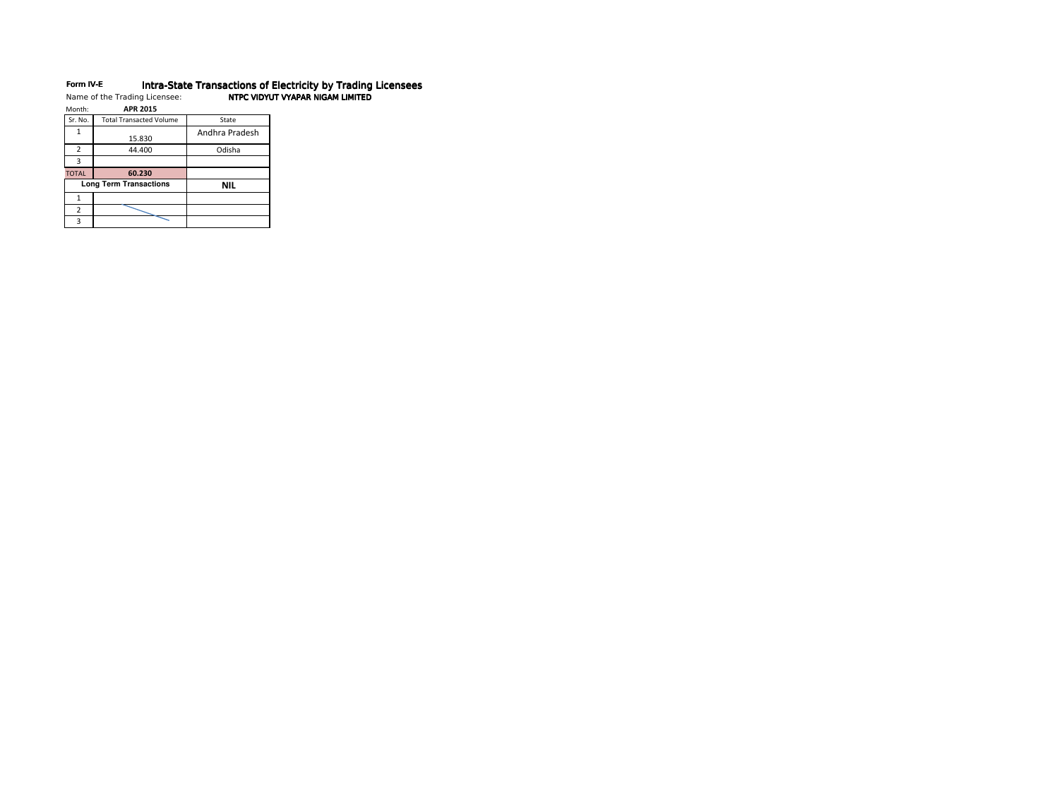## Form IV-EForm IV-E Morra-State Transactions of Electricity by Trading Licensees<br>Name of the Trading Licensee: NTPC VIDYUT VYAPAR NIGAM LIMITED

| Month:         | <b>APR 2015</b>                |                |
|----------------|--------------------------------|----------------|
| Sr. No.        | <b>Total Transacted Volume</b> | State          |
| 1              | 15.830                         | Andhra Pradesh |
| $\overline{2}$ | 44.400                         | Odisha         |
| 3              |                                |                |
|                |                                |                |
| <b>TOTAL</b>   | 60.230                         |                |
|                | <b>Long Term Transactions</b>  | NIL            |
| 1              |                                |                |
| 2              |                                |                |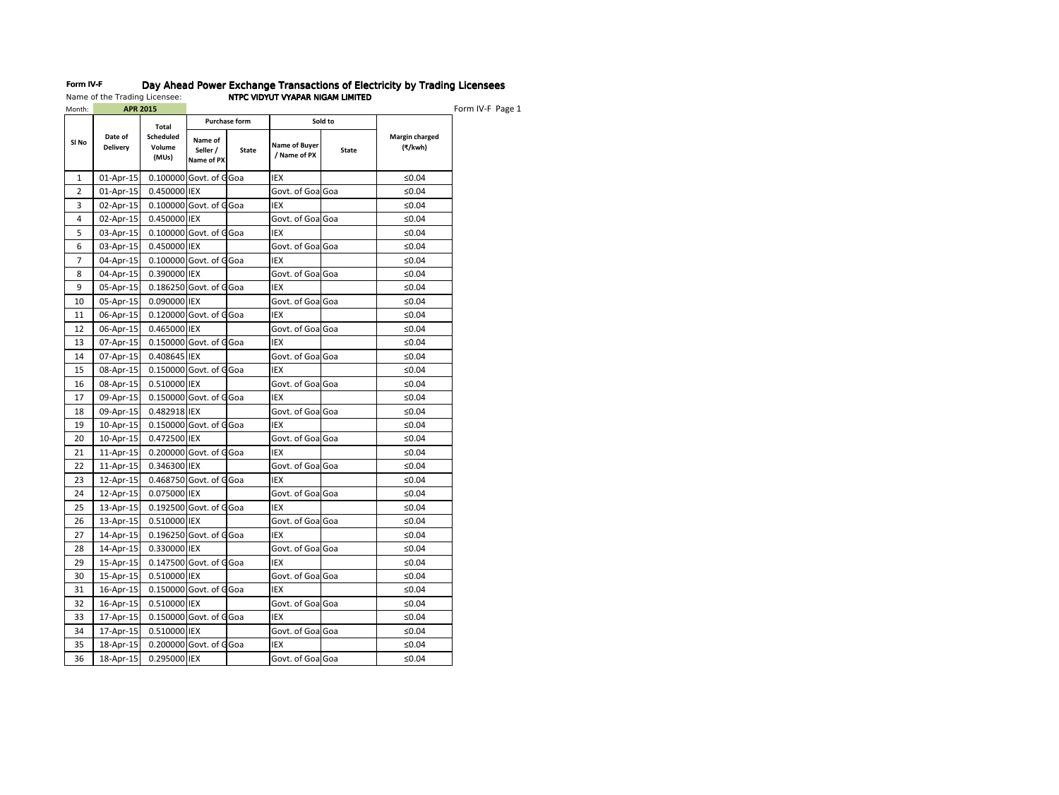| Month: | <b>APR 2015</b>            |                              |                                   |                      |                               |              |                           | Form IV-F Page 1 |
|--------|----------------------------|------------------------------|-----------------------------------|----------------------|-------------------------------|--------------|---------------------------|------------------|
|        |                            | Total                        |                                   | <b>Purchase form</b> |                               | Sold to      |                           |                  |
| SI No  | Date of<br><b>Delivery</b> | Scheduled<br>Volume<br>(MUs) | Name of<br>Seller /<br>Name of PX | State                | Name of Buyer<br>/ Name of PX | <b>State</b> | Margin charged<br>(₹/kwh) |                  |
| 1      | 01-Apr-15                  |                              | 0.100000 Govt. of GGoa            |                      | IEX                           |              | ≤0.04                     |                  |
| 2      | 01-Apr-15                  | 0.450000 IEX                 |                                   |                      | Govt. of GoalGoa              |              | ≤0.04                     |                  |
| 3      | 02-Apr-15                  |                              | 0.100000 Govt. of GGoa            |                      | IEX                           |              | ≤0.04                     |                  |
| 4      | 02-Apr-15                  | 0.450000 IEX                 |                                   |                      | Govt. of GoalGoa              |              | ≤0.04                     |                  |
| 5      | 03-Apr-15                  |                              | 0.100000 Govt. of GGoa            |                      | IEX                           |              | ≤0.04                     |                  |
| 6      | 03-Apr-15                  | 0.450000 IEX                 |                                   |                      | Govt. of GoalGoa              |              | ≤0.04                     |                  |
| 7      | 04-Apr-15                  |                              | 0.100000 Govt. of GGoa            |                      | IEX                           |              | ≤0.04                     |                  |
| 8      | 04-Apr-15                  | 0.390000 IEX                 |                                   |                      | Govt. of GoalGoa              |              | ≤0.04                     |                  |
| 9      | 05-Apr-15                  |                              | $0.186250$ Govt. of GGoa          |                      | IEX                           |              | ≤0.04                     |                  |
| 10     | 05-Apr-15                  | 0.090000 IEX                 |                                   |                      | Govt. of GoalGoa              |              | ≤0.04                     |                  |
| 11     | 06-Apr-15                  |                              | 0.120000 Govt. of GGoa            |                      | IEX                           |              | ≤0.04                     |                  |
| 12     | 06-Apr-15                  | 0.465000 IEX                 |                                   |                      | Govt. of GoalGoa              |              | ≤0.04                     |                  |
| 13     | 07-Apr-15                  |                              | $0.150000$ Govt. of GGoa          |                      | IEX                           |              | ≤0.04                     |                  |
| 14     | 07-Apr-15                  | 0.408645 IEX                 |                                   |                      | Govt. of GoalGoa              |              | ≤0.04                     |                  |
| 15     | 08-Apr-15                  |                              | 0.150000 Govt. of GGoa            |                      | IEX                           |              | ≤0.04                     |                  |
| 16     | 08-Apr-15                  | 0.510000 IEX                 |                                   |                      | Govt. of GoalGoa              |              | ≤0.04                     |                  |
| 17     | 09-Apr-15                  |                              | 0.150000 Govt. of GGoa            |                      | IEX                           |              | ≤0.04                     |                  |
| 18     | 09-Apr-15                  | 0.482918 IEX                 |                                   |                      | Govt. of GoalGoa              |              | ≤0.04                     |                  |
| 19     | 10-Apr-15                  |                              | 0.150000 Govt. of GGoa            |                      | IEX                           |              | ≤0.04                     |                  |
| 20     | 10-Apr-15                  | 0.472500 IEX                 |                                   |                      | Govt. of GoalGoa              |              | ≤0.04                     |                  |
| 21     | 11-Apr-15                  |                              | 0.200000 Govt. of GGoa            |                      | IEX                           |              | ≤0.04                     |                  |
| 22     | 11-Apr-15                  | 0.346300 IEX                 |                                   |                      | Govt. of GoalGoa              |              | ≤0.04                     |                  |
| 23     | 12-Apr-15                  |                              | 0.468750 Govt. of GGoa            |                      | IEX                           |              | ≤0.04                     |                  |
| 24     | 12-Apr-15                  | 0.075000 IEX                 |                                   |                      | Govt. of GoalGoa              |              | ≤0.04                     |                  |
| 25     | 13-Apr-15                  |                              | 0.192500 Govt. of GGoa            |                      | IEX                           |              | ≤0.04                     |                  |
| 26     | 13-Apr-15                  | 0.510000 IEX                 |                                   |                      | Govt. of GoalGoa              |              | ≤0.04                     |                  |
| 27     | 14-Apr-15                  |                              | $0.196250$ Govt. of GGoa          |                      | IEX                           |              | ≤0.04                     |                  |
| 28     | 14-Apr-15                  | 0.330000 IEX                 |                                   |                      | Govt. of GoalGoa              |              | ≤0.04                     |                  |
| 29     | 15-Apr-15                  |                              | 0.147500 Govt. of GGoa            |                      | IEX                           |              | ≤0.04                     |                  |
| 30     | 15-Apr-15                  | 0.510000 IEX                 |                                   |                      | Govt. of GoalGoa              |              | ≤0.04                     |                  |
| 31     | 16-Apr-15                  |                              | 0.150000 Govt. of GGoa            |                      | IEX                           |              | ≤0.04                     |                  |
| 32     | 16-Apr-15                  | 0.510000 IEX                 |                                   |                      | Govt. of GoalGoa              |              | ≤0.04                     |                  |
| 33     | 17-Apr-15                  |                              | 0.150000 Govt. of GGoa            |                      | IEX                           |              | ≤0.04                     |                  |
| 34     | 17-Apr-15                  | 0.510000 IEX                 |                                   |                      | Govt. of GoalGoa              |              | ≤0.04                     |                  |
| 35     | 18-Apr-15                  |                              | 0.200000 Govt. of GGoa            |                      | IEX                           |              | ≤0.04                     |                  |
| 36     | 18-Apr-15                  | 0.295000 IEX                 |                                   |                      | Govt. of GoalGoa              |              | ≤0.04                     |                  |

# Form IV-F Day Ahead Power Exchange Transactions of Electricity by Trading Licensees Name of the Trading Licensee: NTPC VIDYUT VYAPAR NIGAM LIMITED NTPC VIDYUT VYAPAR NIGAM LIMITED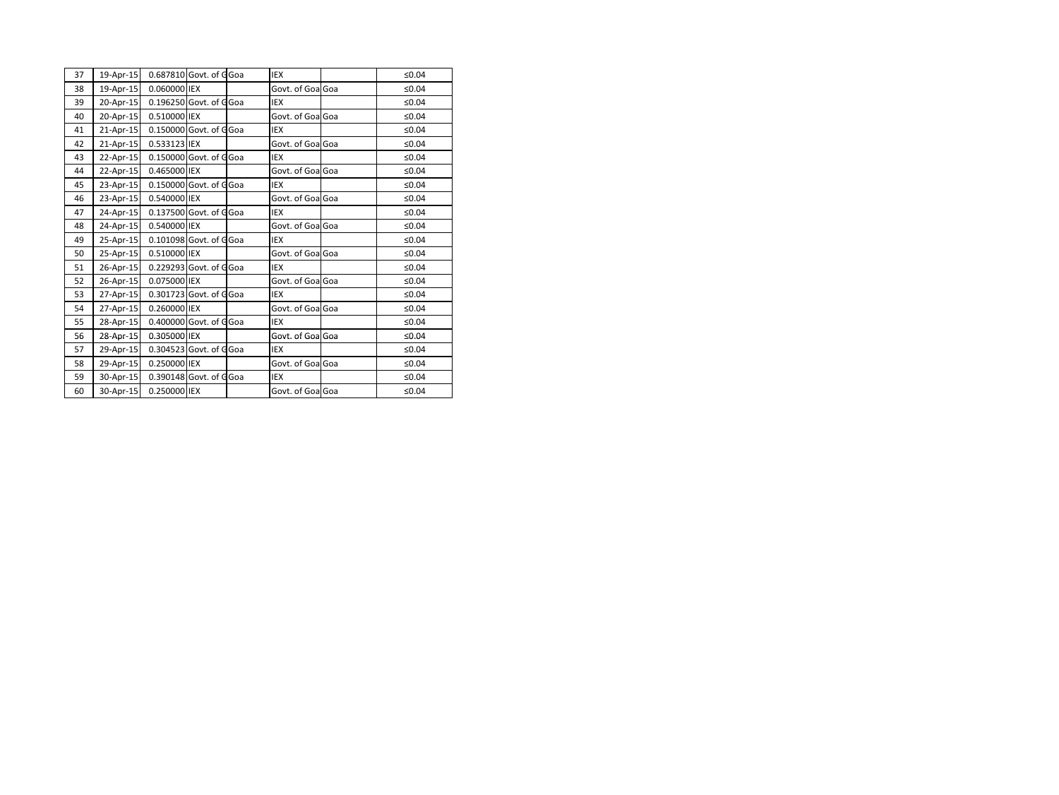| 37 | 19-Apr-15 | 0.687810 Govt. of GGoa |  | <b>IEX</b>        | ≤0.04 |
|----|-----------|------------------------|--|-------------------|-------|
|    |           |                        |  |                   |       |
| 38 | 19-Apr-15 | 0.060000 IEX           |  | Govt. of GoalGoa  | ≤0.04 |
| 39 | 20-Apr-15 | 0.196250 Govt. of GGoa |  | <b>IEX</b>        | ≤0.04 |
| 40 | 20-Apr-15 | 0.510000 IEX           |  | Govt. of GoalGoa  | ≤0.04 |
| 41 | 21-Apr-15 | 0.150000 Govt. of GGoa |  | <b>IEX</b>        | ≤0.04 |
| 42 | 21-Apr-15 | 0.533123 IEX           |  | Govt. of GoalGoa  | ≤0.04 |
| 43 | 22-Apr-15 | 0.150000 Govt. of GGoa |  | IEX               | ≤0.04 |
| 44 | 22-Apr-15 | 0.465000 IEX           |  | Govt. of GoalGoa  | ≤0.04 |
| 45 | 23-Apr-15 | 0.150000 Govt. of GGoa |  | IEX               | ≤0.04 |
| 46 | 23-Apr-15 | 0.540000 IEX           |  | Govt. of GoalGoa  | ≤0.04 |
| 47 | 24-Apr-15 | 0.137500 Govt. of GGoa |  | <b>IEX</b>        | ≤0.04 |
| 48 | 24-Apr-15 | 0.540000 IEX           |  | Govt. of GoalGoa  | ≤0.04 |
| 49 | 25-Apr-15 | 0.101098 Govt. of GGoa |  | IEX               | ≤0.04 |
| 50 | 25-Apr-15 | 0.510000 IEX           |  | Govt. of GoalGoa  | ≤0.04 |
| 51 | 26-Apr-15 | 0.229293 Govt. of GGoa |  | IEX               | ≤0.04 |
| 52 | 26-Apr-15 | 0.075000 IEX           |  | Govt. of GoalGoa  | ≤0.04 |
| 53 | 27-Apr-15 | 0.301723 Govt. of GGoa |  | <b>IEX</b>        | ≤0.04 |
| 54 | 27-Apr-15 | 0.260000 IEX           |  | Govt. of GoalGoa  | ≤0.04 |
| 55 | 28-Apr-15 | 0.400000 Govt. of GGoa |  | <b>IEX</b>        | ≤0.04 |
| 56 | 28-Apr-15 | 0.305000 IEX           |  | Govt. of Goal Goa | ≤0.04 |
| 57 | 29-Apr-15 | 0.304523 Govt. of GGoa |  | <b>IEX</b>        | ≤0.04 |
| 58 | 29-Apr-15 | 0.250000 IEX           |  | Govt. of Goal Goa | ≤0.04 |
| 59 | 30-Apr-15 | 0.390148 Govt. of GGoa |  | <b>IEX</b>        | ≤0.04 |
| 60 | 30-Apr-15 | 0.250000 IEX           |  | Govt. of GoalGoa  | ≤0.04 |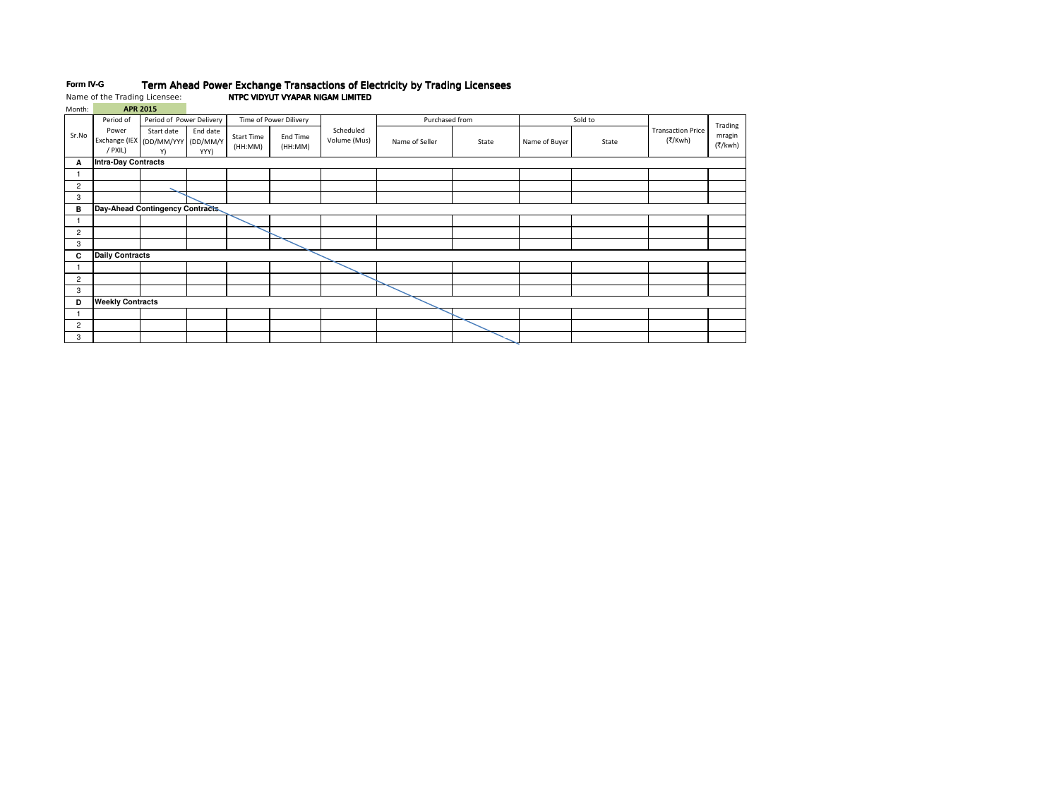# Form IV-G Term Ahead Power Exchange Transactions of Electricity by Trading Licensees Name of the Trading Licensee: NTPC VIDYUT VYAPAR NIGAM LIMITED NTPC VIDYUT VYAPAR NIGAM LIMITED

| Month:       |                            | <b>APR 2015</b>                                       |                  |                              |                        |                           |                |       |               |         |                                     |                   |
|--------------|----------------------------|-------------------------------------------------------|------------------|------------------------------|------------------------|---------------------------|----------------|-------|---------------|---------|-------------------------------------|-------------------|
|              | Period of                  | Period of Power Delivery                              |                  |                              | Time of Power Dilivery |                           | Purchased from |       |               | Sold to |                                     | Trading           |
| Sr.No        | Power<br>/ PXIL)           | Start date<br>Exchange (IEX (DD/MM/YYY (DD/MM/Y<br>Y) | End date<br>YYY) | <b>Start Time</b><br>(HH:MM) | End Time<br>(HH:MM)    | Scheduled<br>Volume (Mus) | Name of Seller | State | Name of Buyer | State   | <b>Transaction Price</b><br>(₹/Kwh) | mragin<br>(₹/kwh) |
| А            | <b>Intra-Day Contracts</b> |                                                       |                  |                              |                        |                           |                |       |               |         |                                     |                   |
| 1            |                            |                                                       |                  |                              |                        |                           |                |       |               |         |                                     |                   |
| 2            |                            |                                                       |                  |                              |                        |                           |                |       |               |         |                                     |                   |
| 3            |                            |                                                       |                  |                              |                        |                           |                |       |               |         |                                     |                   |
| в            |                            | Day-Ahead Contingency Contracts                       |                  |                              |                        |                           |                |       |               |         |                                     |                   |
| $\mathbf{1}$ |                            |                                                       |                  |                              |                        |                           |                |       |               |         |                                     |                   |
| 2            |                            |                                                       |                  |                              |                        |                           |                |       |               |         |                                     |                   |
| 3            |                            |                                                       |                  |                              |                        |                           |                |       |               |         |                                     |                   |
| C            | <b>Daily Contracts</b>     |                                                       |                  |                              |                        |                           |                |       |               |         |                                     |                   |
|              |                            |                                                       |                  |                              |                        |                           |                |       |               |         |                                     |                   |
| 2            |                            |                                                       |                  |                              |                        |                           |                |       |               |         |                                     |                   |
| 3            |                            |                                                       |                  |                              |                        |                           |                |       |               |         |                                     |                   |
| D            | <b>Weekly Contracts</b>    |                                                       |                  |                              |                        |                           |                |       |               |         |                                     |                   |
| 1            |                            |                                                       |                  |                              |                        |                           |                |       |               |         |                                     |                   |
| 2            |                            |                                                       |                  |                              |                        |                           |                |       |               |         |                                     |                   |
| 3            |                            |                                                       |                  |                              |                        |                           |                |       |               |         |                                     |                   |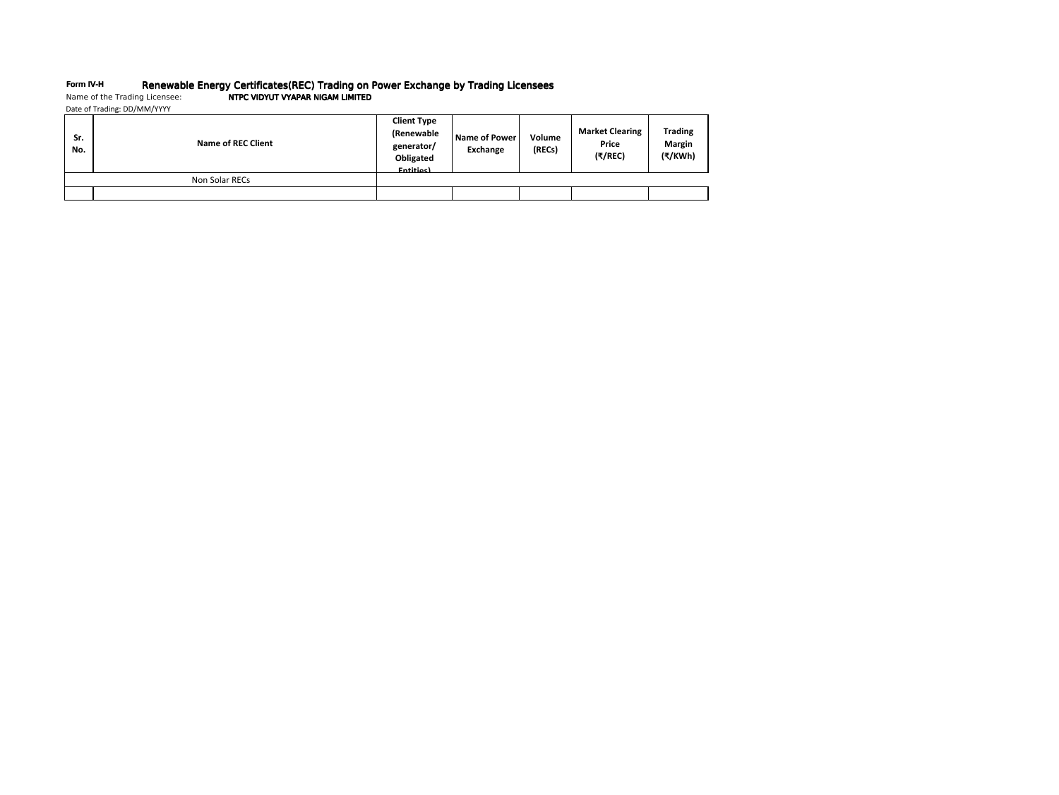# Form IV-H Menewable Energy Certificates(REC) Trading on Power Exchange by Trading Licensees<br>Name of the Trading Licensee: NTPC VIDYUT VYAPAR NIGAM LIMITED

| Date of Trading: DD/MM/YYYY |
|-----------------------------|
|                             |

| Sr.<br>No. | <b>Name of REC Client</b> | <b>Client Type</b><br>(Renewable<br>generator/<br>Obligated<br><b>Fntities</b> | Name of Power<br>Exchange | Volume<br>(RECs) | <b>Market Clearing</b><br>Price<br>(7/REC) | <b>Trading</b><br><b>Margin</b><br>(₹/KWh) |
|------------|---------------------------|--------------------------------------------------------------------------------|---------------------------|------------------|--------------------------------------------|--------------------------------------------|
|            | Non Solar RECs            |                                                                                |                           |                  |                                            |                                            |
|            |                           |                                                                                |                           |                  |                                            |                                            |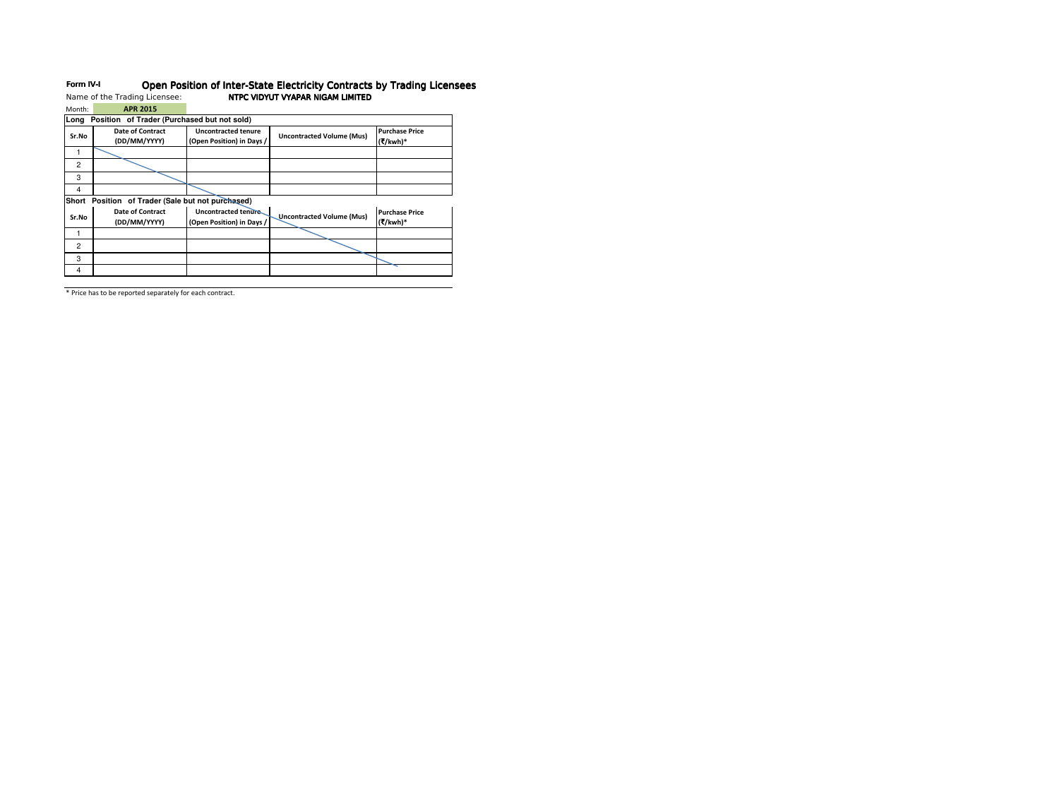| Month:                                               | <b>APR 2015</b>                             |                                                         |                                  |                                   |  |  |  |  |
|------------------------------------------------------|---------------------------------------------|---------------------------------------------------------|----------------------------------|-----------------------------------|--|--|--|--|
| Long                                                 | Position of Trader (Purchased but not sold) |                                                         |                                  |                                   |  |  |  |  |
| Sr.No                                                | Date of Contract<br>(DD/MM/YYYY)            | <b>Uncontracted tenure</b><br>(Open Position) in Days / | <b>Uncontracted Volume (Mus)</b> | <b>Purchase Price</b><br>(₹/kwh)* |  |  |  |  |
|                                                      |                                             |                                                         |                                  |                                   |  |  |  |  |
| $\overline{c}$                                       |                                             |                                                         |                                  |                                   |  |  |  |  |
| 3                                                    |                                             |                                                         |                                  |                                   |  |  |  |  |
| 4                                                    |                                             |                                                         |                                  |                                   |  |  |  |  |
| Position of Trader (Sale but not purchased)<br>Short |                                             |                                                         |                                  |                                   |  |  |  |  |
| Sr.No                                                | <b>Date of Contract</b><br>(DD/MM/YYYY)     | Uncontracted tenure<br>(Open Position) in Days /        | <b>Uncontracted Volume (Mus)</b> | <b>Purchase Price</b><br>(₹/kwh)* |  |  |  |  |
|                                                      |                                             |                                                         |                                  |                                   |  |  |  |  |
| $\overline{2}$                                       |                                             |                                                         |                                  |                                   |  |  |  |  |
| 3                                                    |                                             |                                                         |                                  |                                   |  |  |  |  |
| 4                                                    |                                             |                                                         |                                  |                                   |  |  |  |  |

# Form IV-I Open Position of Inter-State Electricity Contracts by Trading Licensees Name of the Trading Licensee: NTPC VIDYUT VYAPAR NIGAM LIMITED NTPC VIDYUT VYAPAR NIGAM LIMITED

\* Price has to be reported separately for each contract.